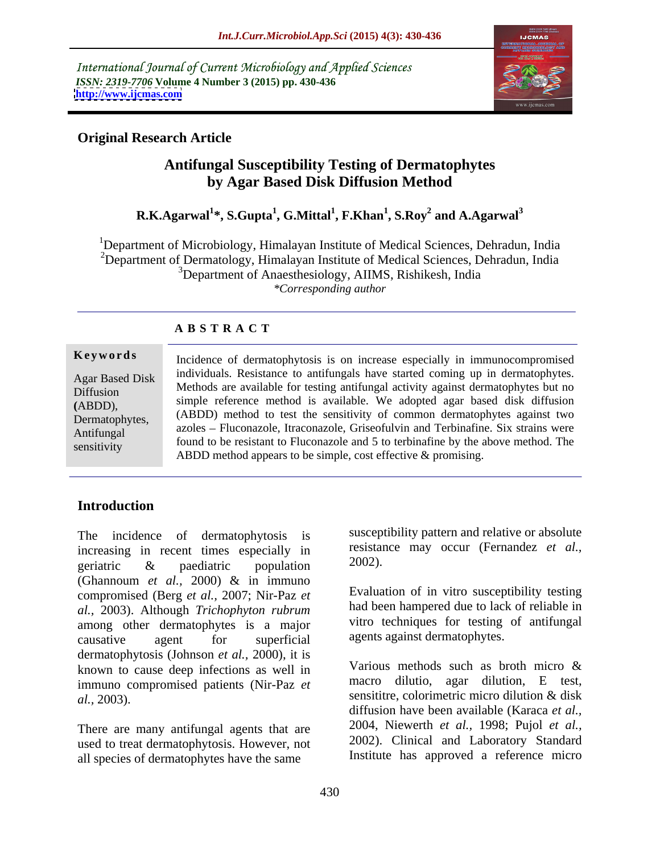International Journal of Current Microbiology and Applied Sciences *ISSN: 2319-7706* **Volume 4 Number 3 (2015) pp. 430-436 <http://www.ijcmas.com>**



# **Original Research Article**

# **Antifungal Susceptibility Testing of Dermatophytes by Agar Based Disk Diffusion Method**

#### **R.K.Agarwal<sup>1</sup> \*, S.Gupta<sup>1</sup> , G.Mittal<sup>1</sup> , F.Khan<sup>1</sup> , S.Roy<sup>2</sup> and A.Agarwal<sup>3</sup>**

<sup>1</sup>Department of Microbiology, Himalayan Institute of Medical Sciences, Dehradun, India <sup>2</sup>Department of Dermatology, Himalayan Institute of Medical Sciences, Dehradun, India <sup>3</sup>Department of Anaesthesiology, AIIMS, Rishikesh, India *\*Corresponding author*

# **A B S T R A C T**

sensitivity

**Keywords** Incidence of dermatophytosis is on increase especially in immunocompromised Agar Based Disk individuals. Resistance to antifungals have started coming up in dermatophytes. Methods are available for testing antifungal activity against dermatophytes but no Diffusion simple reference method is available. We adopted agar based disk diffusion **(**ABDD),  $(ABDE)$ ,  $(ABDD)$  method to test the sensitivity of common dermatophytes against two azoles Fluconazole, Itraconazole, Griseofulvin and Terbinafine. Six strains were Antifungal found to be resistant to Fluconazole and 5 to terbinafine by the above method. The ABDD method appears to be simple, cost effective & promising.

# **Introduction**

increasing in recent times especially in  $\frac{resistat}{resistat}$ <br>generatric  $\frac{g}{2002}$ . geriatric & paediatric population  $2002$ ). (Ghannoum *et al.,* 2000) & in immuno compromised (Berg *et al.,* 2007; Nir-Paz *et al.,* 2003). Although *Trichophyton rubrum* among other dermatophytes is a major causative agent for superficial agents against dermatophytes. dermatophytosis (Johnson *et al.*, 2000), it is<br>
known to cause deen infections as well in Various methods such as broth micro & known to cause deep infections as well in immuno compromised patients (Nir-Paz *et al.*, 2003). Sensitive, colorimetric micro dilution & disk

There are many antifungal agents that are used to treat dermatophytosis. However, not all species of dermatophytes have the same

The incidence of dermatophytosis is susceptibility pattern and relative or absolute resistance may occur (Fernandez *et al.,* 2002).

> Evaluation of in vitro susceptibility testing had been hampered due to lack of reliable in vitro techniques for testing of antifungal agents against dermatophytes.

Various methods such as broth micro & macro dilutio, agar dilution, E test, sensititre, colorimetric micro dilution & disk diffusion have been available (Karaca *et al.,* 2004, Niewerth *et al.,* 1998; Pujol *et al.,* 2002). Clinical and Laboratory Standard Institute has approved a reference micro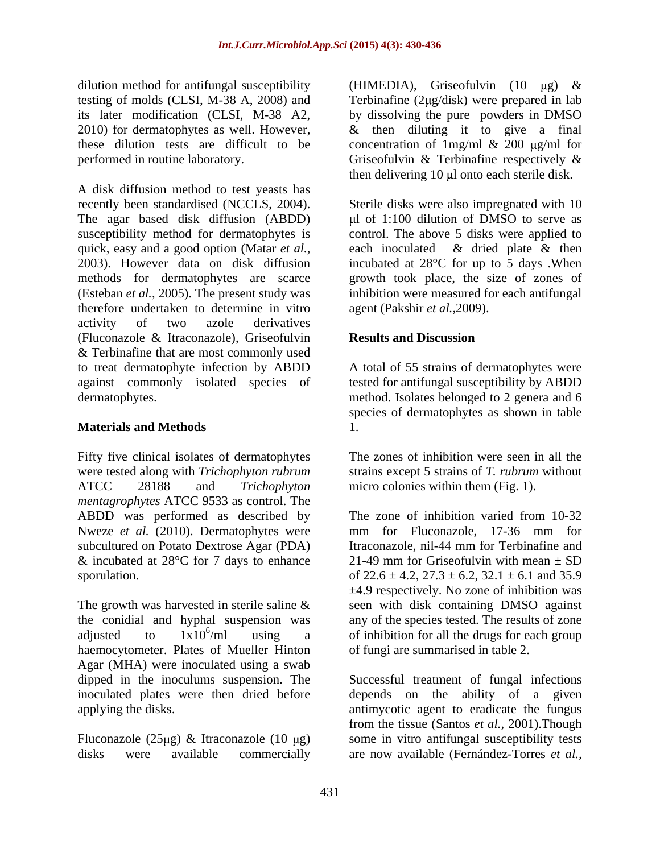A disk diffusion method to test yeasts has recently been standardised (NCCLS, 2004). Sterile disks were also impregnated with 10 The agar based disk diffusion (ABDD) susceptibility method for dermatophytes is control. The above 5 disks were applied to quick, easy and a good option (Matar *et al.,* 2003). However data on disk diffusion incubated at 28°C for up to 5 days .When methods for dermatophytes are scarce growth took place, the size of zones of (Esteban *et al.,* 2005). The present study was inhibition were measured for each antifungal therefore undertaken to determine in vitro activity of two azole derivatives (Fluconazole & Itraconazole), Griseofulvin & Terbinafine that are most commonly used to treat dermatophyte infection by ABDD A total of 55 strains of dermatophytes were against commonly isolated species of tested for antifungal susceptibility by ABDD dermatophytes. method. Isolates belonged to 2 genera and 6

## **Materials and Methods**

Fifty five clinical isolates of dermatophytes were tested along with *Trichophyton rubrum* strains except 5 strains of *T. rubrum* without ATCC 28188 and *Trichophyton*  micro colonies within them (Fig. 1). *mentagrophytes* ATCC 9533 as control. The Nweze *et al.* (2010). Dermatophytes were mm for Fluconazole, 17-36 mm for subcultured on Potato Dextrose Agar (PDA) Itraconazole, nil-44 mm for Terbinafine and & incubated at 28 $^{\circ}$ C for 7 days to enhance 21-49 mm for Griseofulvin with mean  $\pm$  SD

The growth was harvested in sterile saline & haemocytometer. Plates of Mueller Hinton Agar (MHA) were inoculated using a swab dipped in the inoculums suspension. The Successful treatment of fungal infections inoculated plates were then dried before depends on the ability of a given

Fluconazole (25µg) & Itraconazole (10 µg) disks were available commercially are now available (Fernández-Torres *et al.,*

dilution method for antifungal susceptibility (HIMEDIA), Griseofulvin (10  $\mu$ g) & testing of molds (CLSI, M-38 A, 2008) and Terbinafine (2µg/disk) were prepared in lab its later modification (CLSI, M-38 A2, by dissolving the pure powders in DMSO 2010) for dermatophytes as well. However,  $\&$  then diluting it to give a final these dilution tests are difficult to be concentration of 1 mg/ml  $\&$  200 µg/ml for performed in routine laboratory. Griseofulvin & Terbinafine respectively &  $&$  then diluting it to give a final concentration of  $1mg/ml \& 200 \text{ µg/ml}$  for then delivering  $10 \mu l$  onto each sterile disk.

> $\mu$ l of 1:100 dilution of DMSO to serve as each inoculated & dried plate & then agent (Pakshir *et al.,*2009).

### **Results and Discussion**

species of dermatophytes as shown in table 1.

The zones of inhibition were seen in all the

ABDD was performed as described by The zone of inhibition varied from 10-32 subcultured on Potato Dextrose Agar (PDA) Itraconazole, nil-44 mm for Terbinafine and sporulation.  $622.6 \pm 4.2$ ,  $27.3 \pm 6.2$ ,  $32.1 \pm 6.1$  and  $35.9$ the conidial and hyphal suspension was any of the species tested. The results of zone adjusted to  $1x10^6$ /ml using a of inhibition for all the drugs for each group mm for Fluconazole, 17-36 mm for 21-49 mm for Griseofulvin with mean  $\pm$  SD ±4.9 respectively. No zone of inhibition was seen with disk containing DMSO against of fungi are summarised in table 2.

applying the disks. antimycotic agent to eradicate the fungus from the tissue (Santos *et al.,* 2001).Though some in vitro antifungal susceptibility tests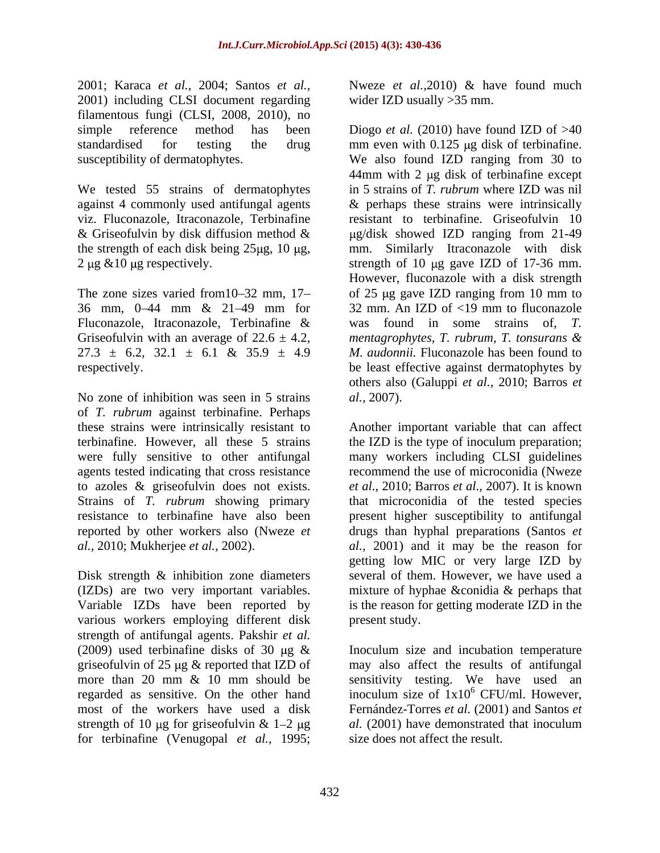2001; Karaca *et al.,* 2004; Santos *et al.,* 2001) including CLSI document regarding filamentous fungi (CLSI, 2008, 2010), no

We tested 55 strains of dermatophytes the strength of each disk being  $25\mu$ g, 10  $\mu$ g, 2  $\mu$ g & 10  $\mu$ g respectively.

Fluconazole, Itraconazole, Terbinafine & was found in some strains of, T.

No zone of inhibition was seen in 5 strains *al.*, 2007). of *T. rubrum* against terbinafine. Perhaps these strains were intrinsically resistant to Another important variable that can affect terbinafine. However, all these 5 strains the IZD is the type of inoculum preparation; were fully sensitive to other antifungal agents tested indicating that cross resistance to azoles & griseofulvin does not exists. *et al.,* 2010; Barros *et al.,* 2007). It is known Strains of *T. rubrum* showing primary that microconidia of the tested species resistance to terbinafine have also been present higher susceptibility to antifungal reported by other workers also (Nweze *et al.,* 2010; Mukherjee *et al.,* 2002). *al.,* 2001) and it may be the reason for

Disk strength & inhibition zone diameters (IZDs) are two very important variables. Variable IZDs have been reported by is the reason for getting moderate IZD in the various workers employing different disk strength of antifungal agents. Pakshir *et al.* strength of 10 µg for griseofulvin & 1–2 µg al. (2001) have demonstrated that inoculum for terbinafine (Venugopal *et al.,* 1995;

Nweze *et al.,*2010) & have found much wider IZD usually >35 mm.

simple reference method has been Diogo *et al.* (2010) have found IZD of >40 standardised for testing the drug mm even with 0.125 µg disk of terbinafine. susceptibility of dermatophytes. We also found IZD ranging from 30 to against 4 commonly used antifungal agents & perhaps these strains were intrinsically viz. Fluconazole, Itraconazole, Terbinafine resistant to terbinafine. Griseofulvin 10 & Griseofulvin by disk diffusion method  $\&$   $\qquad \qquad$   $\mu$ g/disk showed IZD ranging from 21-49  $2 \mu$ g &10  $\mu$ g respectively. strength of 10  $\mu$ g gave IZD of 17-36 mm. The zone sizes varied from  $10-32$  mm,  $17-$  of 25  $\mu$ g gave IZD ranging from 10 mm to 36 mm,  $0-44$  mm &  $21-49$  mm for 32 mm. An IZD of <19 mm to fluconazole Griseofulvin with an average of 22.6 ± 4.2, *mentagrophytes, T. rubrum, T. tonsurans &*  $27.3 \pm 6.2$ ,  $32.1 \pm 6.1$  &  $35.9 \pm 4.9$  *M. audonnii.* Fluconazole has been found to respectively. be least effective against dermatophytes by  $44$ mm with 2 µg disk of terbinafine except in 5 strains of *T. rubrum* where IZD was nil mm. Similarly Itraconazole with disk However, fluconazole with a disk strength was found in some strains of others also (Galuppi *et al.,* 2010; Barros *et al.,* 2007).

> many workers including CLSI guidelines recommend the use of microconidia (Nweze drugs than hyphal preparations (Santos *et*  getting low MIC or very large IZD by several of them. However, we have used a mixture of hyphae &conidia & perhaps that present study.

(2009) used terbinafine disks of 30  $\mu$ g & Inoculum size and incubation temperature griseofulvin of 25 µg & reported that IZD of may also affect the results of antifungal more than 20 mm & 10 mm should be sensitivity testing. We have used an regarded as sensitive. On the other hand inoculum size of  $1x10^6$  CFU/ml. However, most of the workers have used a disk Fernández-Torres *et al.* (2001) and Santos *et*   $6$  CFU/ml. However, *al.* (2001) have demonstrated that inoculum size does not affect the result.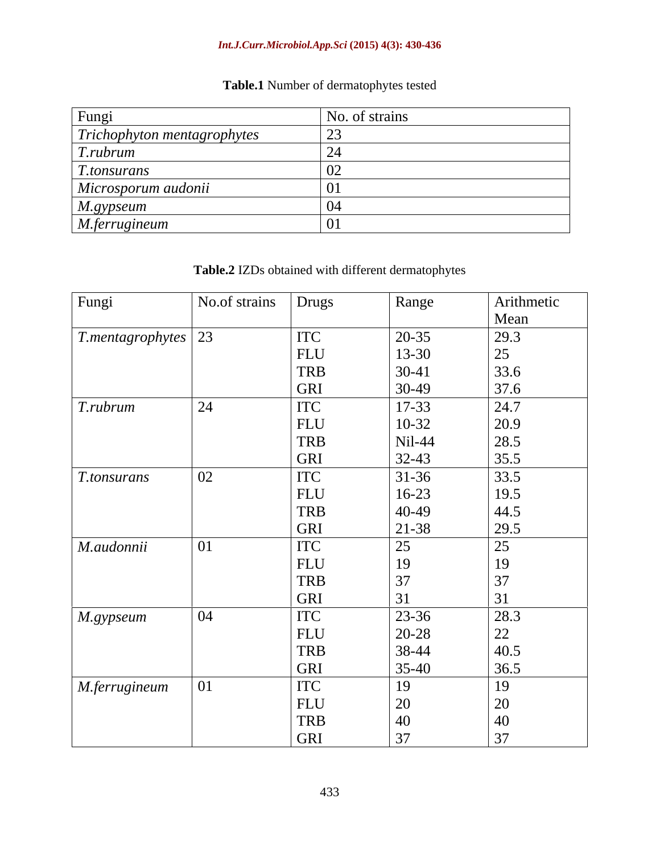### *Int.J.Curr.Microbiol.App.Sci* **(2015) 4(3): 430-436**

# **Table.1** Number of dermatophytes tested

| Fungi                              | No. of strains |  |
|------------------------------------|----------------|--|
| $\mid$ Trichophyton mentagrophytes |                |  |
| T.rubrum                           |                |  |
| <i>T.tonsurans</i>                 |                |  |
| Microsporum audonii                |                |  |
| M.gypseum                          |                |  |
| $M.$ ferrugineum                   |                |  |

# **Table.2** IZDs obtained with different dermatophytes

| Fungi                           | No.of strains | Drugs      | Range         | Arithmetic       |
|---------------------------------|---------------|------------|---------------|------------------|
|                                 |               |            |               | Mean             |
| $T.$ mentagrophytes $\sqrt{23}$ |               | <b>ITC</b> | $20 - 35$     | 29.3             |
|                                 |               | FLU        | $13 - 30$     | 25               |
|                                 |               | <b>TRB</b> | $30-41$       |                  |
|                                 |               | <b>GRI</b> | $30-49$       | $33.6$<br>$37.6$ |
| T.rubrum                        | 24            | <b>ITC</b> | 17-33         | 24.7             |
|                                 |               | <b>FLU</b> | $10-32$       | 20.9             |
|                                 |               | <b>TRB</b> | Nil-44        | 28.5             |
|                                 |               | GRI        | $32-43$       | 35.5             |
| T.tonsurans                     | 02            | <b>ITC</b> | $31-36$       | 33.5             |
|                                 |               | <b>FLU</b> | $16-23$       | 19.5             |
|                                 |               | <b>TRB</b> | 40-49         | 44.5             |
|                                 |               | GRI        | 21-38         | 29.5             |
| M.audonnii                      | 01            | <b>ITC</b> | 25            | $\overline{25}$  |
|                                 |               | <b>FLU</b> | 19            | 19               |
|                                 |               | <b>TRB</b> | 37            | 37               |
|                                 |               | GRI        | 31            | 31               |
| $M$ .gypseum                    | 04            | <b>ITC</b> | $23 - 36$     | 28.3             |
|                                 |               | FLU        | 20-28         | 22               |
|                                 |               | <b>TRB</b> | 38-44         | 40.5             |
|                                 |               | GRI        | $35-40$       | 36.5             |
| M.ferrugineum                   | 01            | <b>ITC</b> | 19            | 19               |
|                                 |               | <b>FLU</b> | <sup>20</sup> | 20               |
|                                 |               | <b>TRB</b> | 40            | 40               |
|                                 |               | GRI        | 37            | 37               |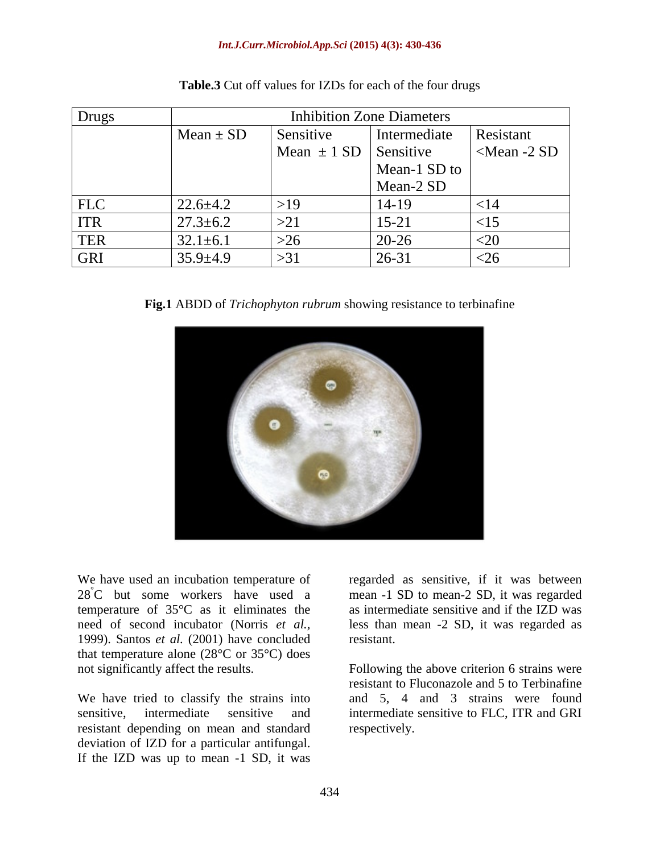#### *Int.J.Curr.Microbiol.App.Sci* **(2015) 4(3): 430-436**

| Drugs      | <b>Inhibition Zone Diameters</b> |                                           |              |                   |
|------------|----------------------------------|-------------------------------------------|--------------|-------------------|
|            | $\Lambda$ ean ± SD               | Sensitive                                 | Intermediate | Resistant         |
|            |                                  | $\vert$ Mean $\pm$ 1 SD $\vert$ Sensitive |              | $\leq$ Mean -2 SD |
|            |                                  |                                           | Mean-1 SD to |                   |
|            |                                  |                                           | Mean-2 SD    |                   |
| <b>FLC</b> | $22.6 \pm 4.2$                   | $>19$                                     | $14-19$      |                   |
| <b>ITR</b> | $27.3 \pm 6.2$                   | $\sim$ $\Omega$ <sup>*</sup><br>— >∠ ⊥    | $15-21$      |                   |
| <b>TER</b> | $32.1 \pm 6.1$                   | >26                                       | $ 20-26$     | ╲∠៶               |
| <b>GRI</b> | $35.9 \pm 4.9$                   | $>3^{1}$<br>ィコ                            | $26 - 31$    | ≌∠∪               |

| Table.3 Cu<br>Cut off values for IZDs for each o<br>h of the four drugs |  |
|-------------------------------------------------------------------------|--|
|-------------------------------------------------------------------------|--|

**Fig.1** ABDD of *Trichophyton rubrum* showing resistance to terbinafine



We have used an incubation temperature of regarded as sensitive, if it was between 28°C but some workers have used a mean -1 SD to mean-2 SD, it was regarded temperature of 35°C as it eliminates the as intermediate sensitive and if the IZD was need of second incubator (Norris *et al.,* less than mean -2 SD, it was regarded as 1999). Santos *et al.* (2001) have concluded that temperature alone ( $28^{\circ}$ C or  $35^{\circ}$ C) does

resistant depending on mean and standard deviation of IZD for a particular antifungal. If the IZD was up to mean -1 SD, it was

resistant.

not significantly affect the results. Following the above criterion 6 strains were We have tried to classify the strains into and 5, 4 and 3 strains were found sensitive, intermediate sensitive and intermediate sensitive to FLC, ITR and GRI resistant to Fluconazole and 5 to Terbinafine respectively.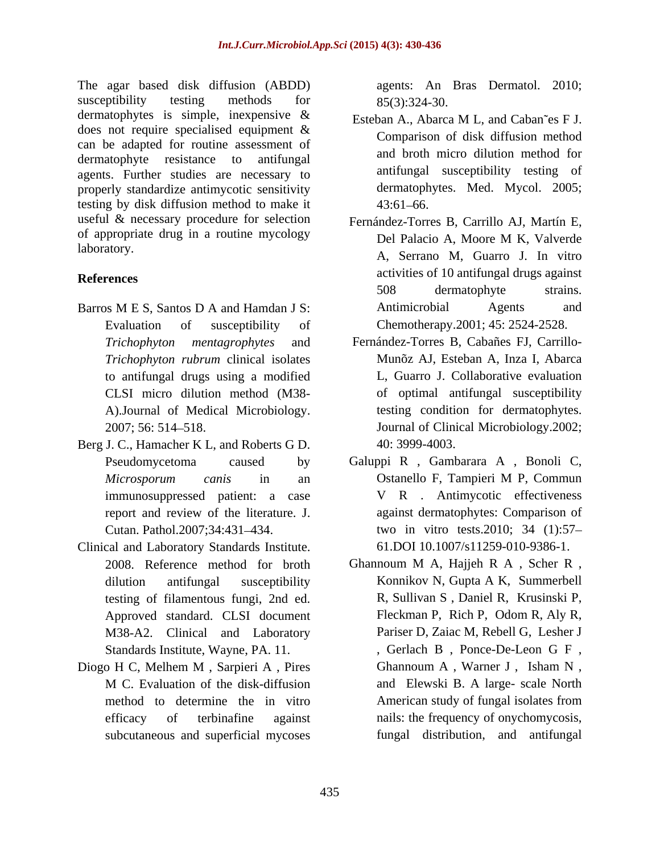The agar based disk diffusion (ABDD) susceptibility testing methods for 85(3):324-30. dermatophytes is simple, inexpensive & Esteban A., Abarca M L, and Caban es F J. does not require specialised equipment & can be adapted for routine assessment of dermatophyte resistance to antifungal agents. Further studies are necessary to properly standardize antimycotic sensitivity testing by disk diffusion method to make it useful & necessary procedure for selection of appropriate drug in a routine mycology

- Evaluation of susceptibility of Chemotherapy.2001; 45: 2524-2528. *Trichophyton rubrum* clinical isolates to antifungal drugs using a modified A).Journal of Medical Microbiology.
- Berg J. C., Hamacher K L, and Roberts G D. immunosuppressed patient: a case report and review of the literature. J.
- Clinical and Laboratory Standards Institute. testing of filamentous fungi, 2nd ed. M38-A2. Clinical and Laboratory
- Diogo H C, Melhem M , Sarpieri A , Pires subcutaneous and superficial mycoses

agents: An Bras Dermatol. 2010; 85(3):324-30.

- Esteban A., Abarca M L, and Caban~es F J. Comparison of disk diffusion method and broth micro dilution method for antifungal susceptibility testing of dermatophytes. Med. Mycol. 2005;  $43:61 - 66.$
- laboratory. A, Serrano M, Guarro J. In vitro **References** activities of 10 antifungal drugs against Barros M E S, Santos D A and Hamdan J S: Antimicrobial Agents and Fernández-Torres B, Carrillo AJ, Martín E, Del Palacio A, Moore M K, Valverde 508 dermatophyte strains. Antimicrobial Agents and
	- *Trichophyton mentagrophytes* and Fernández-Torres B, Cabañes FJ, Carrillo- CLSI micro dilution method (M38- of optimal antifungal susceptibility 2007; 56: 514 518. Journal of Clinical Microbiology.2002; Munõz AJ, Esteban A, Inza I, Abarca L, Guarro J. Collaborative evaluation testing condition for dermatophytes. 40: 3999-4003.
	- Pseudomycetoma caused by Galuppi R , Gambarara A , Bonoli C, *Microsporum canis* in an Cutan. Pathol.2007;34:431 434. two in vitro tests.2010; 34 (1):57 Ostanello F, Tampieri M P, Commun V R . Antimycotic effectiveness against dermatophytes: Comparison of 61.DOI 10.1007/s11259-010-9386-1.
	- 2008. Reference method for broth Ghannoum M A, Hajjeh R A, Scher R, dilution antifungal susceptibility Konnikov N, Gupta A K, Summerbell Approved standard. CLSI document Fleckman P, Rich P, Odom R, Aly R, Standards Institute, Wayne, PA. 11. , Gerlach B , Ponce-De-Leon G F , M C. Evaluation of the disk-diffusion method to determine the in vitro American study of fungal isolates from efficacy of terbinafine against nails: the frequency of onychomycosis, Ghannoum M A, Hajjeh R A , Scher R , R, Sullivan S , Daniel R, Krusinski P, Pariser D, Zaiac M, Rebell G, Lesher J Ghannoum A , Warner J , Isham N , and Elewski B. A large- scale North American study of fungal isolates from fungal distribution, and antifungal